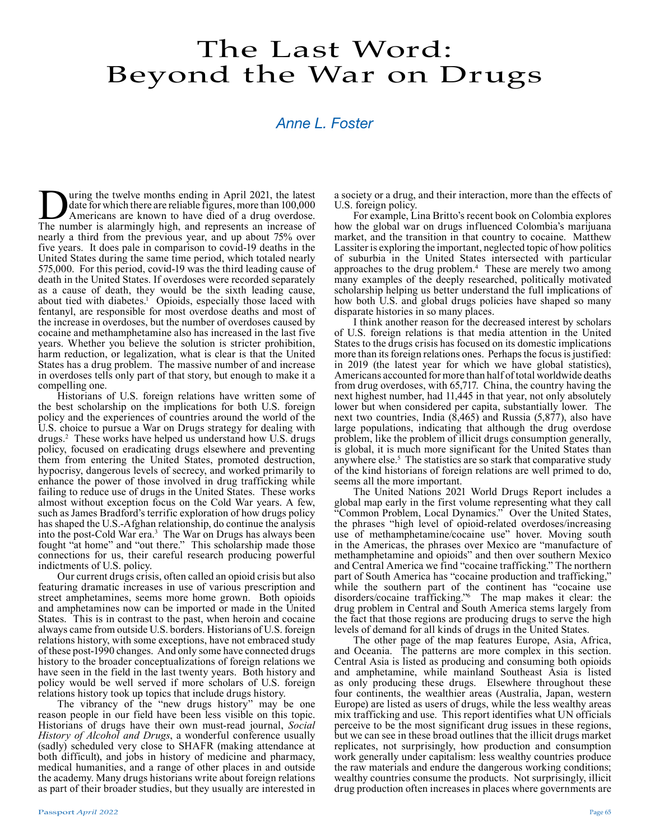## The Last Word: Beyond the War on Drugs

## *Anne L. Foster*

**During the twelve months ending in April 2021, the latest** date for which there are reliable figures, more than 100,000 Americans are known to have died of a drug overdose. The number is alarmingly high and represents an date for which there are reliable figures, more than 100,000 The number is alarmingly high, and represents an increase of nearly a third from the previous year, and up about 75% over five years. It does pale in comparison to covid-19 deaths in the United States during the same time period, which totaled nearly 575,000. For this period, covid-19 was the third leading cause of death in the United States. If overdoses were recorded separately as a cause of death, they would be the sixth leading cause, about tied with diabetes.<sup>1</sup> Opioids, especially those laced with fentanyl, are responsible for most overdose deaths and most of the increase in overdoses, but the number of overdoses caused by cocaine and methamphetamine also has increased in the last five years. Whether you believe the solution is stricter prohibition, harm reduction, or legalization, what is clear is that the United States has a drug problem. The massive number of and increase in overdoses tells only part of that story, but enough to make it a compelling one.

Historians of U.S. foreign relations have written some of the best scholarship on the implications for both U.S. foreign policy and the experiences of countries around the world of the U.S. choice to pursue a War on Drugs strategy for dealing with drugs.2 These works have helped us understand how U.S. drugs policy, focused on eradicating drugs elsewhere and preventing them from entering the United States, promoted destruction, hypocrisy, dangerous levels of secrecy, and worked primarily to enhance the power of those involved in drug trafficking while failing to reduce use of drugs in the United States. These works almost without exception focus on the Cold War years. A few, such as James Bradford's terrific exploration of how drugs policy has shaped the U.S.-Afghan relationship, do continue the analysis into the post-Cold War era.<sup>3</sup> The War on Drugs has always been fought "at home" and "out there." This scholarship made those connections for us, their careful research producing powerful indictments of U.S. policy.

Our current drugs crisis, often called an opioid crisis but also featuring dramatic increases in use of various prescription and street amphetamines, seems more home grown. Both opioids and amphetamines now can be imported or made in the United States. This is in contrast to the past, when heroin and cocaine always came from outside U.S. borders. Historians of U.S. foreign relations history, with some exceptions, have not embraced study of these post-1990 changes. And only some have connected drugs history to the broader conceptualizations of foreign relations we have seen in the field in the last twenty years. Both history and policy would be well served if more scholars of U.S. foreign relations history took up topics that include drugs history.

The vibrancy of the "new drugs history" may be one reason people in our field have been less visible on this topic. Historians of drugs have their own must-read journal, *Social History of Alcohol and Drugs*, a wonderful conference usually (sadly) scheduled very close to SHAFR (making attendance at both difficult), and jobs in history of medicine and pharmacy, medical humanities, and a range of other places in and outside the academy. Many drugs historians write about foreign relations as part of their broader studies, but they usually are interested in a society or a drug, and their interaction, more than the effects of U.S. foreign policy.

For example, Lina Britto's recent book on Colombia explores how the global war on drugs influenced Colombia's marijuana market, and the transition in that country to cocaine. Matthew Lassiter is exploring the important, neglected topic of how politics of suburbia in the United States intersected with particular approaches to the drug problem.<sup>4</sup> These are merely two among many examples of the deeply researched, politically motivated scholarship helping us better understand the full implications of how both U.S. and global drugs policies have shaped so many disparate histories in so many places.

I think another reason for the decreased interest by scholars of U.S. foreign relations is that media attention in the United States to the drugs crisis has focused on its domestic implications more than its foreign relations ones. Perhaps the focus is justified: in 2019 (the latest year for which we have global statistics), Americans accounted for more than half of total worldwide deaths from drug overdoses, with 65,717. China, the country having the next highest number, had 11,445 in that year, not only absolutely lower but when considered per capita, substantially lower. The next two countries, India  $(\bar{8}, 465)$  and Russia  $(5, 877)$ , also have large populations, indicating that although the drug overdose problem, like the problem of illicit drugs consumption generally, is global, it is much more significant for the United States than anywhere else.<sup>5</sup> The statistics are so stark that comparative study of the kind historians of foreign relations are well primed to do, seems all the more important.

The United Nations 2021 World Drugs Report includes a global map early in the first volume representing what they call "Common Problem, Local Dynamics." Over the United States, the phrases "high level of opioid-related overdoses/increasing use of methamphetamine/cocaine use" hover. Moving south in the Americas, the phrases over Mexico are "manufacture of methamphetamine and opioids" and then over southern Mexico and Central America we find "cocaine trafficking." The northern part of South America has "cocaine production and trafficking," while the southern part of the continent has "cocaine use disorders/cocaine trafficking."6 The map makes it clear: the drug problem in Central and South America stems largely from the fact that those regions are producing drugs to serve the high levels of demand for all kinds of drugs in the United States.

The other page of the map features Europe, Asia, Africa, and Oceania. The patterns are more complex in this section. Central Asia is listed as producing and consuming both opioids and amphetamine, while mainland Southeast Asia is listed as only producing these drugs. Elsewhere throughout these four continents, the wealthier areas (Australia, Japan, western Europe) are listed as users of drugs, while the less wealthy areas mix trafficking and use. This report identifies what UN officials perceive to be the most significant drug issues in these regions, but we can see in these broad outlines that the illicit drugs market replicates, not surprisingly, how production and consumption work generally under capitalism: less wealthy countries produce the raw materials and endure the dangerous working conditions; wealthy countries consume the products. Not surprisingly, illicit drug production often increases in places where governments are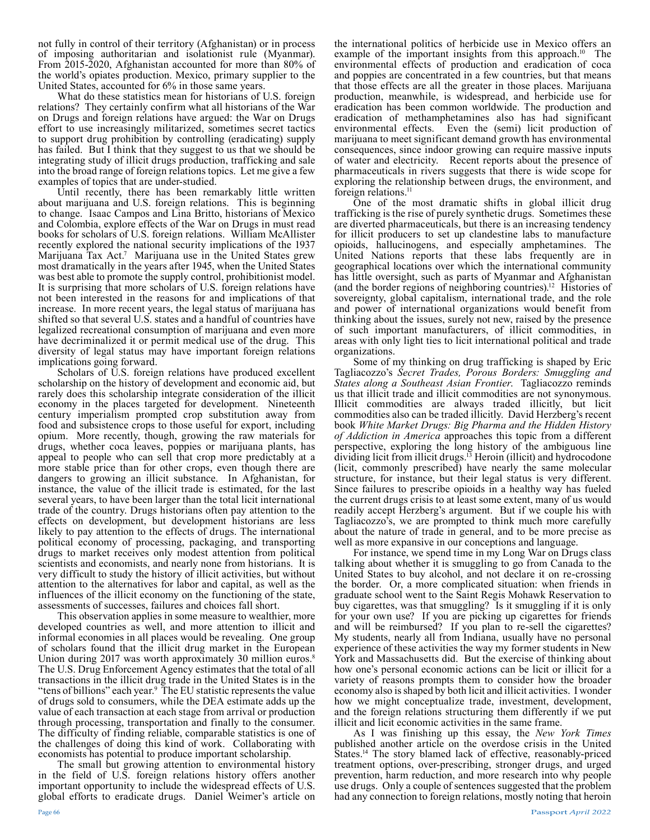not fully in control of their territory (Afghanistan) or in process of imposing authoritarian and isolationist rule (Myanmar). From 2015-2020, Afghanistan accounted for more than 80% of the world's opiates production. Mexico, primary supplier to the United States, accounted for 6% in those same years.

What do these statistics mean for historians of U.S. foreign relations? They certainly confirm what all historians of the War on Drugs and foreign relations have argued: the War on Drugs effort to use increasingly militarized, sometimes secret tactics to support drug prohibition by controlling (eradicating) supply has failed. But I think that they suggest to us that we should be integrating study of illicit drugs production, trafficking and sale into the broad range of foreign relations topics. Let me give a few examples of topics that are under-studied.

Until recently, there has been remarkably little written about marijuana and U.S. foreign relations. This is beginning to change. Isaac Campos and Lina Britto, historians of Mexico and Colombia, explore effects of the War on Drugs in must read books for scholars of U.S. foreign relations. William McAllister recently explored the national security implications of the 1937 Marijuana Tax Act.<sup>7</sup> Marijuana use in the United States grew most dramatically in the years after 1945, when the United States was best able to promote the supply control, prohibitionist model. It is surprising that more scholars of U.S. foreign relations have not been interested in the reasons for and implications of that increase. In more recent years, the legal status of marijuana has shifted so that several U.S. states and a handful of countries have legalized recreational consumption of marijuana and even more have decriminalized it or permit medical use of the drug. This diversity of legal status may have important foreign relations implications going forward.

Scholars of U.S. foreign relations have produced excellent scholarship on the history of development and economic aid, but rarely does this scholarship integrate consideration of the illicit economy in the places targeted for development. Nineteenth century imperialism prompted crop substitution away from food and subsistence crops to those useful for export, including opium. More recently, though, growing the raw materials for drugs, whether coca leaves, poppies or marijuana plants, has appeal to people who can sell that crop more predictably at a more stable price than for other crops, even though there are dangers to growing an illicit substance. In Afghanistan, for instance, the value of the illicit trade is estimated, for the last several years, to have been larger than the total licit international trade of the country. Drugs historians often pay attention to the effects on development, but development historians are less likely to pay attention to the effects of drugs. The international political economy of processing, packaging, and transporting drugs to market receives only modest attention from political scientists and economists, and nearly none from historians. It is very difficult to study the history of illicit activities, but without attention to the alternatives for labor and capital, as well as the influences of the illicit economy on the functioning of the state, assessments of successes, failures and choices fall short.

This observation applies in some measure to wealthier, more developed countries as well, and more attention to illicit and informal economies in all places would be revealing. One group of scholars found that the illicit drug market in the European Union during 2017 was worth approximately 30 million euros.<sup>8</sup> The U.S. Drug Enforcement Agency estimates that the total of all transactions in the illicit drug trade in the United States is in the "tens of billions" each year.9 The EU statistic represents the value of drugs sold to consumers, while the DEA estimate adds up the value of each transaction at each stage from arrival or production through processing, transportation and finally to the consumer. The difficulty of finding reliable, comparable statistics is one of the challenges of doing this kind of work. Collaborating with economists has potential to produce important scholarship.

The small but growing attention to environmental history in the field of U.S. foreign relations history offers another important opportunity to include the widespread effects of U.S. global efforts to eradicate drugs. Daniel Weimer's article on

the international politics of herbicide use in Mexico offers an example of the important insights from this approach.<sup>10</sup> The environmental effects of production and eradication of coca and poppies are concentrated in a few countries, but that means that those effects are all the greater in those places. Marijuana production, meanwhile, is widespread, and herbicide use for eradication has been common worldwide. The production and eradication of methamphetamines also has had significant environmental effects. Even the (semi) licit production of marijuana to meet significant demand growth has environmental consequences, since indoor growing can require massive inputs of water and electricity. Recent reports about the presence of pharmaceuticals in rivers suggests that there is wide scope for exploring the relationship between drugs, the environment, and foreign relations.<sup>11</sup>

One of the most dramatic shifts in global illicit drug trafficking is the rise of purely synthetic drugs. Sometimes these are diverted pharmaceuticals, but there is an increasing tendency for illicit producers to set up clandestine labs to manufacture opioids, hallucinogens, and especially amphetamines. The United Nations reports that these labs frequently are in geographical locations over which the international community has little oversight, such as parts of Myanmar and Afghanistan (and the border regions of neighboring countries).12 Histories of sovereignty, global capitalism, international trade, and the role and power of international organizations would benefit from thinking about the issues, surely not new, raised by the presence of such important manufacturers, of illicit commodities, in areas with only light ties to licit international political and trade organizations.

Some of my thinking on drug trafficking is shaped by Eric Tagliacozzo's *Secret Trades, Porous Borders: Smuggling and States along a Southeast Asian Frontier*. Tagliacozzo reminds us that illicit trade and illicit commodities are not synonymous. Illicit commodities are always traded illicitly, but licit commodities also can be traded illicitly. David Herzberg's recent book *White Market Drugs: Big Pharma and the Hidden History of Addiction in America* approaches this topic from a different perspective, exploring the long history of the ambiguous line dividing licit from illicit drugs.<sup>13</sup> Heroin (illicit) and hydrocodone (licit, commonly prescribed) have nearly the same molecular structure, for instance, but their legal status is very different. Since failures to prescribe opioids in a healthy way has fueled the current drugs crisis to at least some extent, many of us would readily accept Herzberg's argument. But if we couple his with Tagliacozzo's, we are prompted to think much more carefully about the nature of trade in general, and to be more precise as well as more expansive in our conceptions and language.

For instance, we spend time in my Long War on Drugs class talking about whether it is smuggling to go from Canada to the United States to buy alcohol, and not declare it on re-crossing the border. Or, a more complicated situation: when friends in graduate school went to the Saint Regis Mohawk Reservation to buy cigarettes, was that smuggling? Is it smuggling if it is only for your own use? If you are picking up cigarettes for friends and will be reimbursed? If you plan to re-sell the cigarettes? My students, nearly all from Indiana, usually have no personal experience of these activities the way my former students in New York and Massachusetts did. But the exercise of thinking about how one's personal economic actions can be licit or illicit for a variety of reasons prompts them to consider how the broader economy also is shaped by both licit and illicit activities. I wonder how we might conceptualize trade, investment, development, and the foreign relations structuring them differently if we put illicit and licit economic activities in the same frame.

As I was finishing up this essay, the *New York Times* published another article on the overdose crisis in the United States.14 The story blamed lack of effective, reasonably-priced treatment options, over-prescribing, stronger drugs, and urged prevention, harm reduction, and more research into why people use drugs. Only a couple of sentences suggested that the problem had any connection to foreign relations, mostly noting that heroin